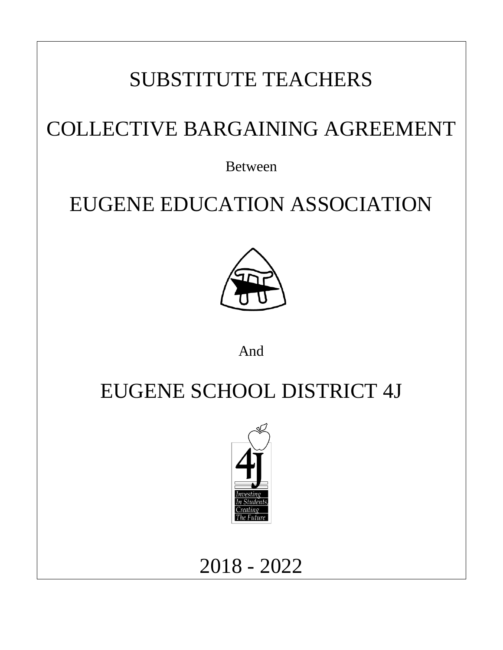# SUBSTITUTE TEACHERS

# COLLECTIVE BARGAINING AGREEMENT

Between

# EUGENE EDUCATION ASSOCIATION



And

# EUGENE SCHOOL DISTRICT 4J



## 2018 - 2022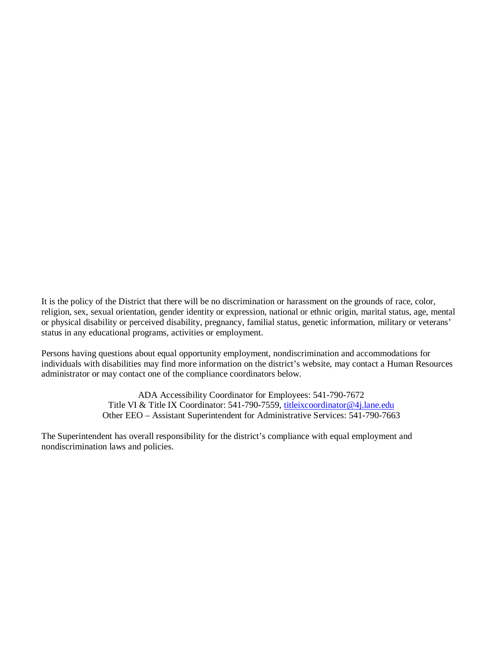It is the policy of the District that there will be no discrimination or harassment on the grounds of race, color, religion, sex, sexual orientation, gender identity or expression, national or ethnic origin, marital status, age, mental or physical disability or perceived disability, pregnancy, familial status, genetic information, military or veterans' status in any educational programs, activities or employment.

Persons having questions about equal opportunity employment, nondiscrimination and accommodations for individuals with disabilities may find more information on the district's website, may contact a Human Resources administrator or may contact one of the compliance coordinators below.

> ADA Accessibility Coordinator for Employees: 541-790-7672 Title VI & Title IX Coordinator: 541-790-7559, [titleixcoordinator@4j.lane.edu](mailto:titleixcoordinator@4j.lane.edu) Other EEO – Assistant Superintendent for Administrative Services: 541-790-7663

The Superintendent has overall responsibility for the district's compliance with equal employment and nondiscrimination laws and policies.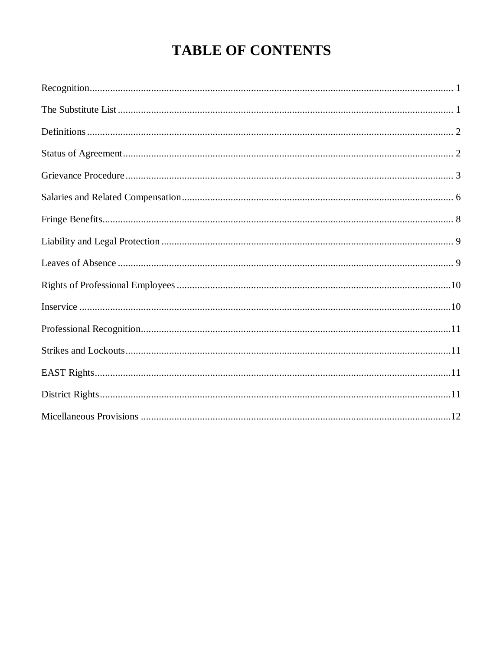## **TABLE OF CONTENTS**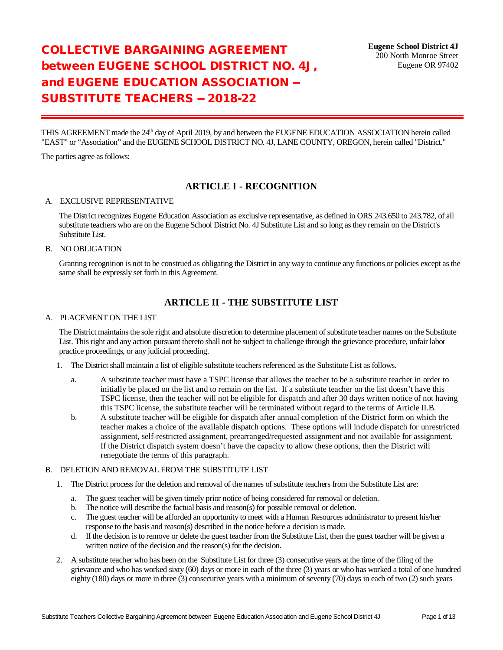## COLLECTIVE BARGAINING AGREEMENT between EUGENE SCHOOL DISTRICT NO. 4J, and EUGENE EDUCATION ASSOCIATION -- SUBSTITUTE TEACHERS -- 2018-22

THIS AGREEMENT made the 24th day of April 2019, by and between the EUGENE EDUCATION ASSOCIATION herein called "EAST" or "Association" and the EUGENE SCHOOL DISTRICT NO. 4J, LANE COUNTY, OREGON, herein called "District."

The parties agree as follows:

### **ARTICLE I - RECOGNITION**

#### A. EXCLUSIVE REPRESENTATIVE

The District recognizes Eugene Education Association as exclusive representative, as defined in ORS 243.650 to 243.782, of all substitute teachers who are on the Eugene School District No. 4J Substitute List and so long as they remain on the District's Substitute List.

#### B. NO OBLIGATION

Granting recognition is not to be construed as obligating the District in any way to continue any functions or policies except as the same shall be expressly set forth in this Agreement.

## **ARTICLE II - THE SUBSTITUTE LIST**

#### A. PLACEMENT ON THE LIST

The District maintains the sole right and absolute discretion to determine placement of substitute teacher names on the Substitute List. This right and any action pursuant thereto shall not be subject to challenge through the grievance procedure, unfair labor practice proceedings, or any judicial proceeding.

- 1. The District shall maintain a list of eligible substitute teachers referenced as the Substitute List as follows.
	- a. A substitute teacher must have a TSPC license that allows the teacher to be a substitute teacher in order to initially be placed on the list and to remain on the list. If a substitute teacher on the list doesn't have this TSPC license, then the teacher will not be eligible for dispatch and after 30 days written notice of not having this TSPC license, the substitute teacher will be terminated without regard to the terms of Article II.B.
	- b. A substitute teacher will be eligible for dispatch after annual completion of the District form on which the teacher makes a choice of the available dispatch options. These options will include dispatch for unrestricted assignment, self-restricted assignment, prearranged/requested assignment and not available for assignment. If the District dispatch system doesn't have the capacity to allow these options, then the District will renegotiate the terms of this paragraph.

#### B. DELETION AND REMOVAL FROM THE SUBSTITUTE LIST

- 1. The District process for the deletion and removal of the names of substitute teachers from the Substitute List are:
	- a. The guest teacher will be given timely prior notice of being considered for removal or deletion.
	- b. The notice will describe the factual basis and reason(s) for possible removal or deletion.
	- c. The guest teacher will be afforded an opportunity to meet with a Human Resources administrator to present his/her response to the basis and reason(s) described in the notice before a decision is made.
	- d. If the decision is to remove or delete the guest teacher from the Substitute List, then the guest teacher will be given a written notice of the decision and the reason(s) for the decision.
- 2. A substitute teacher who has been on the Substitute List for three (3) consecutive years at the time of the filing of the grievance and who has worked sixty (60) days or more in each of the three (3) years or who has worked a total of one hundred eighty (180) days or more in three (3) consecutive years with a minimum of seventy (70) days in each of two (2) such years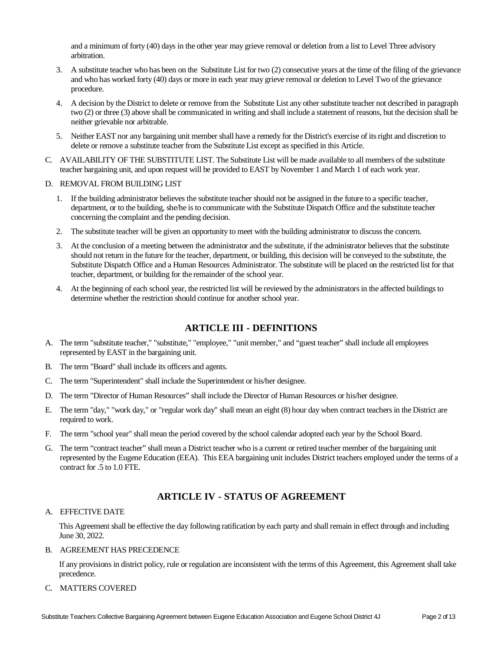and a minimum of forty (40) days in the other year may grieve removal or deletion from a list to Level Three advisory arbitration.

- 3. A substitute teacher who has been on the Substitute List for two (2) consecutive years at the time of the filing of the grievance and who has worked forty (40) days or more in each year may grieve removal or deletion to Level Two of the grievance procedure.
- 4. A decision by the District to delete or remove from the Substitute List any other substitute teacher not described in paragraph two (2) or three (3) above shall be communicated in writing and shall include a statement of reasons, but the decision shall be neither grievable nor arbitrable.
- 5. Neither EAST nor any bargaining unit member shall have a remedy for the District's exercise of its right and discretion to delete or remove a substitute teacher from the Substitute List except as specified in this Article.
- C. AVAILABILITY OF THE SUBSTITUTE LIST. The Substitute List will be made available to all members of the substitute teacher bargaining unit, and upon request will be provided to EAST by November 1 and March 1 of each work year.

#### D. REMOVAL FROM BUILDING LIST

- 1. If the building administrator believes the substitute teacher should not be assigned in the future to a specific teacher, department, or to the building, she/he is to communicate with the Substitute Dispatch Office and the substitute teacher concerning the complaint and the pending decision.
- 2. The substitute teacher will be given an opportunity to meet with the building administrator to discuss the concern.
- 3. At the conclusion of a meeting between the administrator and the substitute, if the administrator believes that the substitute should not return in the future for the teacher, department, or building, this decision will be conveyed to the substitute, the Substitute Dispatch Office and a Human Resources Administrator. The substitute will be placed on the restricted list for that teacher, department, or building for the remainder of the school year.
- 4. At the beginning of each school year, the restricted list will be reviewed by the administrators in the affected buildings to determine whether the restriction should continue for another school year.

### **ARTICLE III - DEFINITIONS**

- A. The term "substitute teacher," "substitute," "employee," "unit member," and "guest teacher" shall include all employees represented by EAST in the bargaining unit.
- B. The term "Board" shall include its officers and agents.
- C. The term "Superintendent" shall include the Superintendent or his/her designee.
- D. The term "Director of Human Resources" shall include the Director of Human Resources or his/her designee.
- E. The term "day," "work day," or "regular work day" shall mean an eight (8) hour day when contract teachers in the District are required to work.
- F. The term "school year" shall mean the period covered by the school calendar adopted each year by the School Board.
- G. The term "contract teacher" shall mean a District teacher who is a current or retired teacher member of the bargaining unit represented by the Eugene Education (EEA). This EEA bargaining unit includes District teachers employed under the terms of a contract for .5 to 1.0 FTE.

### **ARTICLE IV - STATUS OF AGREEMENT**

#### A. EFFECTIVE DATE

This Agreement shall be effective the day following ratification by each party and shall remain in effect through and including June 30, 2022.

#### B. AGREEMENT HAS PRECEDENCE

If any provisions in district policy, rule or regulation are inconsistent with the terms of this Agreement, this Agreement shall take precedence.

#### C. MATTERS COVERED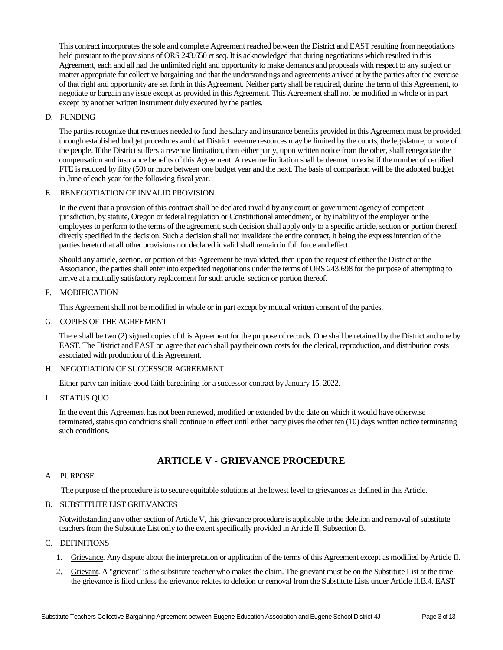This contract incorporates the sole and complete Agreement reached between the District and EAST resulting from negotiations held pursuant to the provisions of ORS 243.650 et seq. It is acknowledged that during negotiations which resulted in this Agreement, each and all had the unlimited right and opportunity to make demands and proposals with respect to any subject or matter appropriate for collective bargaining and that the understandings and agreements arrived at by the parties after the exercise of that right and opportunity are set forth in this Agreement. Neither party shall be required, during the term of this Agreement, to negotiate or bargain any issue except as provided in this Agreement. This Agreement shall not be modified in whole or in part except by another written instrument duly executed by the parties.

#### D. FUNDING

The parties recognize that revenues needed to fund the salary and insurance benefits provided in this Agreement must be provided through established budget procedures and that District revenue resources may be limited by the courts, the legislature, or vote of the people. If the District suffers a revenue limitation, then either party, upon written notice from the other, shall renegotiate the compensation and insurance benefits of this Agreement. A revenue limitation shall be deemed to exist if the number of certified FTE is reduced by fifty (50) or more between one budget year and the next. The basis of comparison will be the adopted budget in June of each year for the following fiscal year.

#### E. RENEGOTIATION OF INVALID PROVISION

In the event that a provision of this contract shall be declared invalid by any court or government agency of competent jurisdiction, by statute, Oregon or federal regulation or Constitutional amendment, or by inability of the employer or the employees to perform to the terms of the agreement, such decision shall apply only to a specific article, section or portion thereof directly specified in the decision. Such a decision shall not invalidate the entire contract, it being the express intention of the parties hereto that all other provisions not declared invalid shall remain in full force and effect.

Should any article, section, or portion of this Agreement be invalidated, then upon the request of either the District or the Association, the parties shall enter into expedited negotiations under the terms of ORS 243.698 for the purpose of attempting to arrive at a mutually satisfactory replacement for such article, section or portion thereof.

#### F. MODIFICATION

This Agreement shall not be modified in whole or in part except by mutual written consent of the parties.

#### G. COPIES OF THE AGREEMENT

There shall be two (2) signed copies of this Agreement for the purpose of records. One shall be retained by the District and one by EAST. The District and EAST on agree that each shall pay their own costs for the clerical, reproduction, and distribution costs associated with production of this Agreement.

#### H. NEGOTIATION OF SUCCESSOR AGREEMENT

Either party can initiate good faith bargaining for a successor contract by January 15, 2022.

#### I. STATUS QUO

In the event this Agreement has not been renewed, modified or extended by the date on which it would have otherwise terminated, status quo conditions shall continue in effect until either party gives the other ten (10) days written notice terminating such conditions.

## **ARTICLE V - GRIEVANCE PROCEDURE**

#### A. PURPOSE

The purpose of the procedure is to secure equitable solutions at the lowest level to grievances as defined in this Article.

#### B. SUBSTITUTE LIST GRIEVANCES

Notwithstanding any other section of Article V, this grievance procedure is applicable to the deletion and removal of substitute teachers from the Substitute List only to the extent specifically provided in Article II, Subsection B.

#### C. DEFINITIONS

- 1. Grievance. Any dispute about the interpretation or application of the terms of this Agreement except as modified by Article II.
- 2. Grievant. A "grievant" is the substitute teacher who makes the claim. The grievant must be on the Substitute List at the time the grievance is filed unless the grievance relates to deletion or removal from the Substitute Lists under Article II.B.4. EAST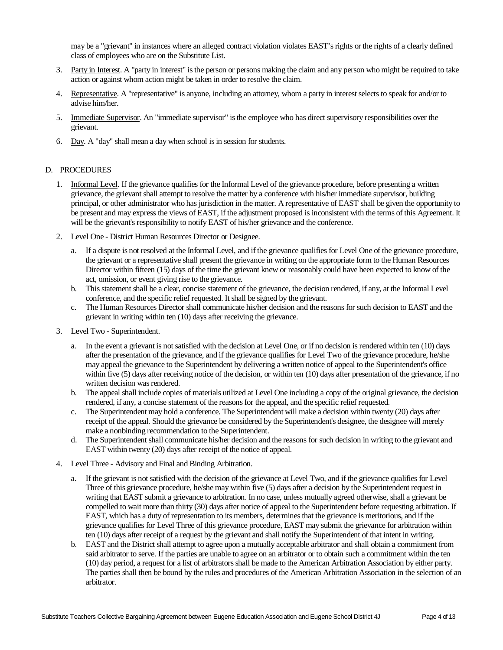may be a "grievant" in instances where an alleged contract violation violates EAST's rights or the rights of a clearly defined class of employees who are on the Substitute List.

- 3. Party in Interest. A "party in interest" is the person or persons making the claim and any person who might be required to take action or against whom action might be taken in order to resolve the claim.
- 4. Representative. A "representative" is anyone, including an attorney, whom a party in interest selects to speak for and/or to advise him/her.
- 5. Immediate Supervisor. An "immediate supervisor" is the employee who has direct supervisory responsibilities over the grievant.
- 6. Day. A "day" shall mean a day when school is in session for students.

#### D. PROCEDURES

- 1. Informal Level. If the grievance qualifies for the Informal Level of the grievance procedure, before presenting a written grievance, the grievant shall attempt to resolve the matter by a conference with his/her immediate supervisor, building principal, or other administrator who has jurisdiction in the matter. A representative of EAST shall be given the opportunity to be present and may express the views of EAST, if the adjustment proposed is inconsistent with the terms of this Agreement. It will be the grievant's responsibility to notify EAST of his/her grievance and the conference.
- 2. Level One District Human Resources Director or Designee.
	- a. If a dispute is not resolved at the Informal Level, and if the grievance qualifies for Level One of the grievance procedure, the grievant or a representative shall present the grievance in writing on the appropriate form to the Human Resources Director within fifteen (15) days of the time the grievant knew or reasonably could have been expected to know of the act, omission, or event giving rise to the grievance.
	- b. This statement shall be a clear, concise statement of the grievance, the decision rendered, if any, at the Informal Level conference, and the specific relief requested. It shall be signed by the grievant.
	- c. The Human Resources Director shall communicate his/her decision and the reasons for such decision to EAST and the grievant in writing within ten (10) days after receiving the grievance.
- 3. Level Two Superintendent.
	- a. In the event a grievant is not satisfied with the decision at Level One, or if no decision is rendered within ten (10) days after the presentation of the grievance, and if the grievance qualifies for Level Two of the grievance procedure, he/she may appeal the grievance to the Superintendent by delivering a written notice of appeal to the Superintendent's office within five (5) days after receiving notice of the decision, or within ten (10) days after presentation of the grievance, if no written decision was rendered.
	- b. The appeal shall include copies of materials utilized at Level One including a copy of the original grievance, the decision rendered, if any, a concise statement of the reasons for the appeal, and the specific relief requested.
	- c. The Superintendent may hold a conference. The Superintendent will make a decision within twenty (20) days after receipt of the appeal. Should the grievance be considered by the Superintendent's designee, the designee will merely make a nonbinding recommendation to the Superintendent.
	- d. The Superintendent shall communicate his/her decision and the reasons for such decision in writing to the grievant and EAST within twenty (20) days after receipt of the notice of appeal.
- 4. Level Three Advisory and Final and Binding Arbitration.
	- a. If the grievant is not satisfied with the decision of the grievance at Level Two, and if the grievance qualifies for Level Three of this grievance procedure, he/she may within five (5) days after a decision by the Superintendent request in writing that EAST submit a grievance to arbitration. In no case, unless mutually agreed otherwise, shall a grievant be compelled to wait more than thirty (30) days after notice of appeal to the Superintendent before requesting arbitration. If EAST, which has a duty of representation to its members, determines that the grievance is meritorious, and if the grievance qualifies for Level Three of this grievance procedure, EAST may submit the grievance for arbitration within ten (10) days after receipt of a request by the grievant and shall notify the Superintendent of that intent in writing.
	- b. EAST and the District shall attempt to agree upon a mutually acceptable arbitrator and shall obtain a commitment from said arbitrator to serve. If the parties are unable to agree on an arbitrator or to obtain such a commitment within the ten (10) day period, a request for a list of arbitrators shall be made to the American Arbitration Association by either party. The parties shall then be bound by the rules and procedures of the American Arbitration Association in the selection of an arbitrator.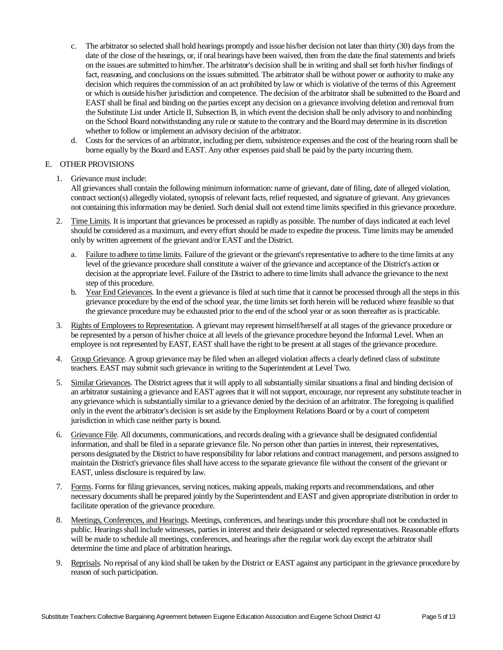- c. The arbitrator so selected shall hold hearings promptly and issue his/her decision not later than thirty (30) days from the date of the close of the hearings, or, if oral hearings have been waived, then from the date the final statements and briefs on the issues are submitted to him/her. The arbitrator's decision shall be in writing and shall set forth his/her findings of fact, reasoning, and conclusions on the issues submitted. The arbitrator shall be without power or authority to make any decision which requires the commission of an act prohibited by law or which is violative of the terms of this Agreement or which is outside his/her jurisdiction and competence. The decision of the arbitrator shall be submitted to the Board and EAST shall be final and binding on the parties except any decision on a grievance involving deletion and removal from the Substitute List under Article II, Subsection B, in which event the decision shall be only advisory to and nonbinding on the School Board notwithstanding any rule or statute to the contrary and the Board may determine in its discretion whether to follow or implement an advisory decision of the arbitrator.
- d. Costs for the services of an arbitrator, including per diem, subsistence expenses and the cost of the hearing room shall be borne equally by the Board and EAST. Any other expenses paid shall be paid by the party incurring them.

#### E. OTHER PROVISIONS

1. Grievance must include:

All grievances shall contain the following minimum information: name of grievant, date of filing, date of alleged violation, contract section(s) allegedly violated, synopsis of relevant facts, relief requested, and signature of grievant. Any grievances not containing this information may be denied. Such denial shall not extend time limits specified in this grievance procedure.

- 2. Time Limits. It is important that grievances be processed as rapidly as possible. The number of days indicated at each level should be considered as a maximum, and every effort should be made to expedite the process. Time limits may be amended only by written agreement of the grievant and/or EAST and the District.
	- a. Failure to adhere to time limits. Failure of the grievant or the grievant's representative to adhere to the time limits at any level of the grievance procedure shall constitute a waiver of the grievance and acceptance of the District's action or decision at the appropriate level. Failure of the District to adhere to time limits shall advance the grievance to the next step of this procedure.
	- b. Year End Grievances. In the event a grievance is filed at such time that it cannot be processed through all the steps in this grievance procedure by the end of the school year, the time limits set forth herein will be reduced where feasible so that the grievance procedure may be exhausted prior to the end of the school year or as soon thereafter as is practicable.
- 3. Rights of Employees to Representation. A grievant may represent himself/herself at all stages of the grievance procedure or be represented by a person of his/her choice at all levels of the grievance procedure beyond the Informal Level. When an employee is not represented by EAST, EAST shall have the right to be present at all stages of the grievance procedure.
- 4. Group Grievance. A group grievance may be filed when an alleged violation affects a clearly defined class of substitute teachers. EAST may submit such grievance in writing to the Superintendent at Level Two.
- 5. Similar Grievances. The District agrees that it will apply to all substantially similar situations a final and binding decision of an arbitrator sustaining a grievance and EAST agrees that it will not support, encourage, nor represent any substitute teacher in any grievance which is substantially similar to a grievance denied by the decision of an arbitrator. The foregoing is qualified only in the event the arbitrator's decision is set aside by the Employment Relations Board or by a court of competent jurisdiction in which case neither party is bound.
- 6. Grievance File. All documents, communications, and records dealing with a grievance shall be designated confidential information, and shall be filed in a separate grievance file. No person other than parties in interest, their representatives, persons designated by the District to have responsibility for labor relations and contract management, and persons assigned to maintain the District's grievance files shall have access to the separate grievance file without the consent of the grievant or EAST, unless disclosure is required by law.
- 7. Forms. Forms for filing grievances, serving notices, making appeals, making reports and recommendations, and other necessary documents shall be prepared jointly by the Superintendent and EAST and given appropriate distribution in order to facilitate operation of the grievance procedure.
- 8. Meetings, Conferences, and Hearings. Meetings, conferences, and hearings under this procedure shall not be conducted in public. Hearings shall include witnesses, parties in interest and their designated or selected representatives. Reasonable efforts will be made to schedule all meetings, conferences, and hearings after the regular work day except the arbitrator shall determine the time and place of arbitration hearings.
- 9. Reprisals. No reprisal of any kind shall be taken by the District or EAST against any participant in the grievance procedure by reason of such participation.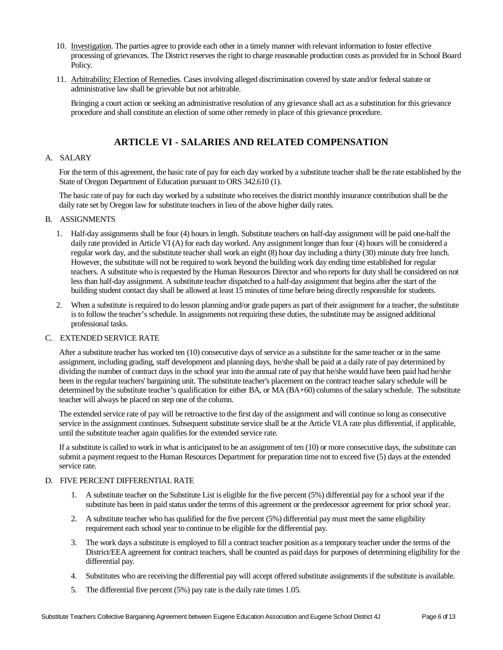- 10. Investigation. The parties agree to provide each other in a timely manner with relevant information to foster effective processing of grievances. The District reserves the right to charge reasonable production costs as provided for in School Board Policy.
- 11. Arbitrability; Election of Remedies. Cases involving alleged discrimination covered by state and/or federal statute or administrative law shall be grievable but not arbitrable.

Bringing a court action or seeking an administrative resolution of any grievance shall act as a substitution for this grievance procedure and shall constitute an election of some other remedy in place of this grievance procedure.

## **ARTICLE VI - SALARIES AND RELATED COMPENSATION**

#### A. SALARY

For the term of this agreement, the basic rate of pay for each day worked by a substitute teacher shall be the rate established by the State of Oregon Department of Education pursuant to ORS 342.610 (1).

The basic rate of pay for each day worked by a substitute who receives the district monthly insurance contribution shall be the daily rate set by Oregon law for substitute teachers in lieu of the above higher daily rates.

#### B. ASSIGNMENTS

- 1. Half-day assignments shall be four (4) hours in length. Substitute teachers on half-day assignment will be paid one-half the daily rate provided in Article VI (A) for each day worked. Any assignment longer than four (4) hours will be considered a regular work day, and the substitute teacher shall work an eight (8) hour day including a thirty (30) minute duty free lunch. However, the substitute will not be required to work beyond the building work day ending time established for regular teachers. A substitute who is requested by the Human Resources Director and who reports for duty shall be considered on not less than half-day assignment. A substitute teacher dispatched to a half-day assignment that begins after the start of the building student contact day shall be allowed at least 15 minutes of time before being directly responsible for students.
- 2. When a substitute is required to do lesson planning and/or grade papers as part of their assignment for a teacher, the substitute is to follow the teacher's schedule. In assignments not requiring these duties, the substitute may be assigned additional professional tasks.

#### C. EXTENDED SERVICE RATE

After a substitute teacher has worked ten (10) consecutive days of service as a substitute for the same teacher or in the same assignment, including grading, staff development and planning days, he/she shall be paid at a daily rate of pay determined by dividing the number of contract days in the school year into the annual rate of pay that he/she would have been paid had he/she been in the regular teachers' bargaining unit. The substitute teacher's placement on the contract teacher salary schedule will be determined by the substitute teacher's qualification for either BA, or MA (BA+60) columns of the salary schedule. The substitute teacher will always be placed on step one of the column.

The extended service rate of pay will be retroactive to the first day of the assignment and will continue so long as consecutive service in the assignment continues. Subsequent substitute service shall be at the Article VI.A rate plus differential, if applicable, until the substitute teacher again qualifies for the extended service rate.

If a substitute is called to work in what is anticipated to be an assignment of ten (10) or more consecutive days, the substitute can submit a payment request to the Human Resources Department for preparation time not to exceed five (5) days at the extended service rate.

#### D. FIVE PERCENT DIFFERENTIAL RATE

- 1. A substitute teacher on the Substitute List is eligible for the five percent (5%) differential pay for a school year if the substitute has been in paid status under the terms of this agreement or the predecessor agreement for prior school year.
- 2. A substitute teacher who has qualified for the five percent (5%) differential pay must meet the same eligibility requirement each school year to continue to be eligible for the differential pay.
- 3. The work days a substitute is employed to fill a contract teacher position as a temporary teacher under the terms of the District/EEA agreement for contract teachers, shall be counted as paid days for purposes of determining eligibility for the differential pay.
- 4. Substitutes who are receiving the differential pay will accept offered substitute assignments if the substitute is available.
- 5. The differential five percent (5%) pay rate is the daily rate times 1.05.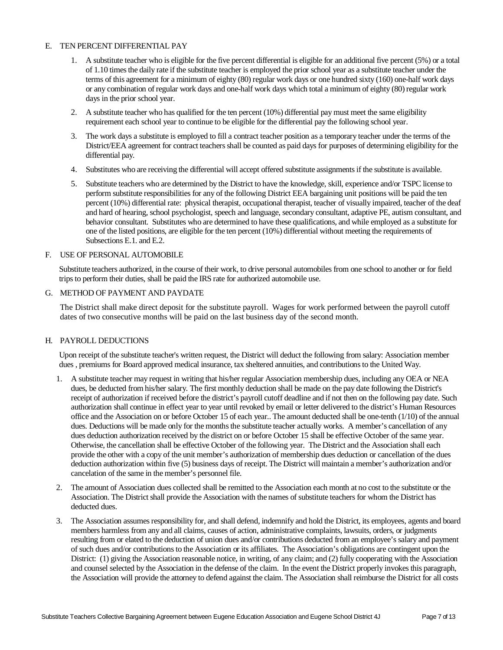#### E. TEN PERCENT DIFFERENTIAL PAY

- 1. A substitute teacher who is eligible for the five percent differential is eligible for an additional five percent (5%) or a total of 1.10 times the daily rate if the substitute teacher is employed the prior school year as a substitute teacher under the terms of this agreement for a minimum of eighty (80) regular work days or one hundred sixty (160) one-half work days or any combination of regular work days and one-half work days which total a minimum of eighty (80) regular work days in the prior school year.
- 2. A substitute teacher who has qualified for the ten percent (10%) differential pay must meet the same eligibility requirement each school year to continue to be eligible for the differential pay the following school year.
- 3. The work days a substitute is employed to fill a contract teacher position as a temporary teacher under the terms of the District/EEA agreement for contract teachers shall be counted as paid days for purposes of determining eligibility for the differential pay.
- 4. Substitutes who are receiving the differential will accept offered substitute assignments if the substitute is available.
- 5. Substitute teachers who are determined by the District to have the knowledge, skill, experience and/or TSPC license to perform substitute responsibilities for any of the following District EEA bargaining unit positions will be paid the ten percent (10%) differential rate: physical therapist, occupational therapist, teacher of visually impaired, teacher of the deaf and hard of hearing, school psychologist, speech and language, secondary consultant, adaptive PE, autism consultant, and behavior consultant. Substitutes who are determined to have these qualifications, and while employed as a substitute for one of the listed positions, are eligible for the ten percent (10%) differential without meeting the requirements of Subsections E.1. and E.2.

#### F. USE OF PERSONAL AUTOMOBILE

Substitute teachers authorized, in the course of their work, to drive personal automobiles from one school to another or for field trips to perform their duties, shall be paid the IRS rate for authorized automobile use.

#### G. METHOD OF PAYMENT AND PAYDATE

The District shall make direct deposit for the substitute payroll. Wages for work performed between the payroll cutoff dates of two consecutive months will be paid on the last business day of the second month.

#### H. PAYROLL DEDUCTIONS

Upon receipt of the substitute teacher's written request, the District will deduct the following from salary: Association member dues , premiums for Board approved medical insurance, tax sheltered annuities, and contributions to the United Way.

- 1. A substitute teacher may request in writing that his/her regular Association membership dues, including any OEA or NEA dues, be deducted from his/her salary. The first monthly deduction shall be made on the pay date following the District's receipt of authorization if received before the district's payroll cutoff deadline and if not then on the following pay date. Such authorization shall continue in effect year to year until revoked by email or letter delivered to the district's Human Resources office and the Association on or before October 15 of each year.. The amount deducted shall be one-tenth (1/10) of the annual dues. Deductions will be made only for the months the substitute teacher actually works. A member's cancellation of any dues deduction authorization received by the district on or before October 15 shall be effective October of the same year. Otherwise, the cancellation shall be effective October of the following year. The District and the Association shall each provide the other with a copy of the unit member's authorization of membership dues deduction or cancellation of the dues deduction authorization within five (5) business days of receipt. The District will maintain a member's authorization and/or cancelation of the same in the member's personnel file.
- 2. The amount of Association dues collected shall be remitted to the Association each month at no cost to the substitute or the Association. The District shall provide the Association with the names of substitute teachers for whom the District has deducted dues.
- 3. The Association assumes responsibility for, and shall defend, indemnify and hold the District, its employees, agents and board members harmless from any and all claims, causes of action, administrative complaints, lawsuits, orders, or judgments resulting from or elated to the deduction of union dues and/or contributions deducted from an employee's salary and payment of such dues and/or contributions to the Association or its affiliates. The Association's obligations are contingent upon the District: (1) giving the Association reasonable notice, in writing, of any claim; and (2) fully cooperating with the Association and counsel selected by the Association in the defense of the claim. In the event the District properly invokes this paragraph, the Association will provide the attorney to defend against the claim. The Association shall reimburse the District for all costs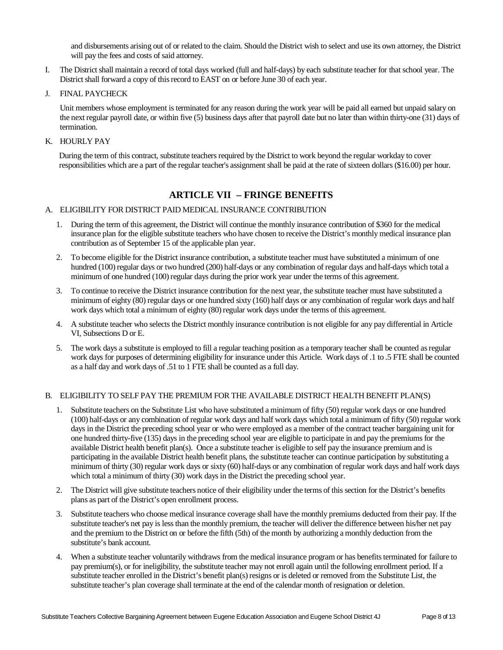and disbursements arising out of or related to the claim. Should the District wish to select and use its own attorney, the District will pay the fees and costs of said attorney.

- I. The District shall maintain a record of total days worked (full and half-days) by each substitute teacher for that school year. The District shall forward a copy of this record to EAST on or before June 30 of each year.
- J. FINAL PAYCHECK

Unit members whose employment is terminated for any reason during the work year will be paid all earned but unpaid salary on the next regular payroll date, or within five (5) business days after that payroll date but no later than within thirty-one (31) days of termination.

K. HOURLY PAY

During the term of this contract, substitute teachers required by the District to work beyond the regular workday to cover responsibilities which are a part of the regular teacher's assignment shall be paid at the rate of sixteen dollars (\$16.00) per hour.

## **ARTICLE VII – FRINGE BENEFITS**

#### A. ELIGIBILITY FOR DISTRICT PAID MEDICAL INSURANCE CONTRIBUTION

- 1. During the term of this agreement, the District will continue the monthly insurance contribution of \$360 for the medical insurance plan for the eligible substitute teachers who have chosen to receive the District's monthly medical insurance plan contribution as of September 15 of the applicable plan year.
- 2. To become eligible for the District insurance contribution, a substitute teacher must have substituted a minimum of one hundred (100) regular days or two hundred (200) half-days or any combination of regular days and half-days which total a minimum of one hundred (100) regular days during the prior work year under the terms of this agreement.
- 3. To continue to receive the District insurance contribution for the next year, the substitute teacher must have substituted a minimum of eighty (80) regular days or one hundred sixty (160) half days or any combination of regular work days and half work days which total a minimum of eighty (80) regular work days under the terms of this agreement.
- 4. A substitute teacher who selects the District monthly insurance contribution is not eligible for any pay differential in Article VI, Subsections D or E.
- 5. The work days a substitute is employed to fill a regular teaching position as a temporary teacher shall be counted as regular work days for purposes of determining eligibility for insurance under this Article. Work days of .1 to .5 FTE shall be counted as a half day and work days of .51 to 1 FTE shall be counted as a full day.

#### B. ELIGIBILITY TO SELF PAY THE PREMIUM FOR THE AVAILABLE DISTRICT HEALTH BENEFIT PLAN(S)

- 1. Substitute teachers on the Substitute List who have substituted a minimum of fifty (50) regular work days or one hundred (100) half-days or any combination of regular work days and half work days which total a minimum of fifty (50) regular work days in the District the preceding school year or who were employed as a member of the contract teacher bargaining unit for one hundred thirty-five (135) days in the preceding school year are eligible to participate in and pay the premiums for the available District health benefit plan(s). Once a substitute teacher is eligible to self pay the insurance premium and is participating in the available District health benefit plans, the substitute teacher can continue participation by substituting a minimum of thirty (30) regular work days or sixty (60) half-days or any combination of regular work days and half work days which total a minimum of thirty (30) work days in the District the preceding school year.
- 2. The District will give substitute teachers notice of their eligibility under the terms of this section for the District's benefits plans as part of the District's open enrollment process.
- 3. Substitute teachers who choose medical insurance coverage shall have the monthly premiums deducted from their pay. If the substitute teacher's net pay is less than the monthly premium, the teacher will deliver the difference between his/her net pay and the premium to the District on or before the fifth (5th) of the month by authorizing a monthly deduction from the substitute's bank account.
- 4. When a substitute teacher voluntarily withdraws from the medical insurance program or has benefits terminated for failure to pay premium(s), or for ineligibility, the substitute teacher may not enroll again until the following enrollment period. If a substitute teacher enrolled in the District's benefit plan(s) resigns or is deleted or removed from the Substitute List, the substitute teacher's plan coverage shall terminate at the end of the calendar month of resignation or deletion.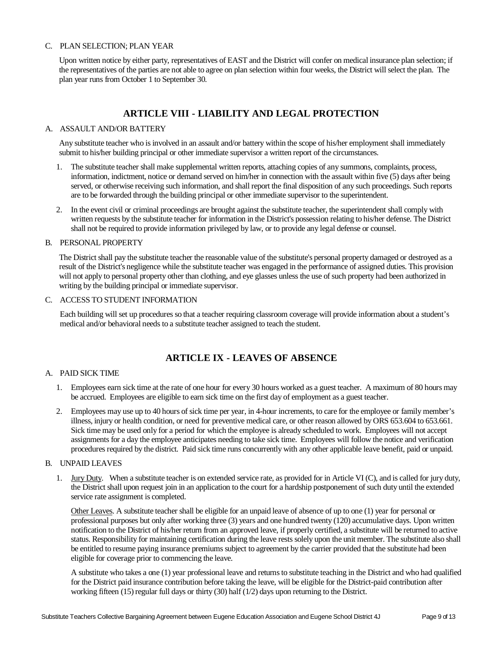#### C. PLAN SELECTION; PLAN YEAR

Upon written notice by either party, representatives of EAST and the District will confer on medical insurance plan selection; if the representatives of the parties are not able to agree on plan selection within four weeks, the District will select the plan. The plan year runs from October 1 to September 30.

## **ARTICLE VIII - LIABILITY AND LEGAL PROTECTION**

#### A. ASSAULT AND/OR BATTERY

Any substitute teacher who is involved in an assault and/or battery within the scope of his/her employment shall immediately submit to his/her building principal or other immediate supervisor a written report of the circumstances.

- 1. The substitute teacher shall make supplemental written reports, attaching copies of any summons, complaints, process, information, indictment, notice or demand served on him/her in connection with the assault within five (5) days after being served, or otherwise receiving such information, and shall report the final disposition of any such proceedings. Such reports are to be forwarded through the building principal or other immediate supervisor to the superintendent.
- 2. In the event civil or criminal proceedings are brought against the substitute teacher, the superintendent shall comply with written requests by the substitute teacher for information in the District's possession relating to his/her defense. The District shall not be required to provide information privileged by law, or to provide any legal defense or counsel.

#### B. PERSONAL PROPERTY

The District shall pay the substitute teacher the reasonable value of the substitute's personal property damaged or destroyed as a result of the District's negligence while the substitute teacher was engaged in the performance of assigned duties. This provision will not apply to personal property other than clothing, and eye glasses unless the use of such property had been authorized in writing by the building principal or immediate supervisor.

#### C. ACCESS TO STUDENT INFORMATION

Each building will set up procedures so that a teacher requiring classroom coverage will provide information about a student's medical and/or behavioral needs to a substitute teacher assigned to teach the student.

### **ARTICLE IX - LEAVES OF ABSENCE**

#### A. PAID SICK TIME

- 1. Employees earn sick time at the rate of one hour for every 30 hours worked as a guest teacher. A maximum of 80 hours may be accrued. Employees are eligible to earn sick time on the first day of employment as a guest teacher.
- 2. Employees may use up to 40 hours of sick time per year, in 4-hour increments, to care for the employee or family member's illness, injury or health condition, or need for preventive medical care, or other reason allowed by ORS 653.604 to 653.661. Sick time may be used only for a period for which the employee is already scheduled to work. Employees will not accept assignments for a day the employee anticipates needing to take sick time. Employees will follow the notice and verification procedures required by the district. Paid sick time runs concurrently with any other applicable leave benefit, paid or unpaid.

#### B. UNPAID LEAVES

1. Jury Duty. When a substitute teacher is on extended service rate, as provided for in Article VI (C), and is called for jury duty, the District shall upon request join in an application to the court for a hardship postponement of such duty until the extended service rate assignment is completed.

Other Leaves. A substitute teacher shall be eligible for an unpaid leave of absence of up to one (1) year for personal or professional purposes but only after working three (3) years and one hundred twenty (120) accumulative days. Upon written notification to the District of his/her return from an approved leave, if properly certified, a substitute will be returned to active status. Responsibility for maintaining certification during the leave rests solely upon the unit member. The substitute also shall be entitled to resume paying insurance premiums subject to agreement by the carrier provided that the substitute had been eligible for coverage prior to commencing the leave.

A substitute who takes a one (1) year professional leave and returns to substitute teaching in the District and who had qualified for the District paid insurance contribution before taking the leave, will be eligible for the District-paid contribution after working fifteen (15) regular full days or thirty (30) half (1/2) days upon returning to the District.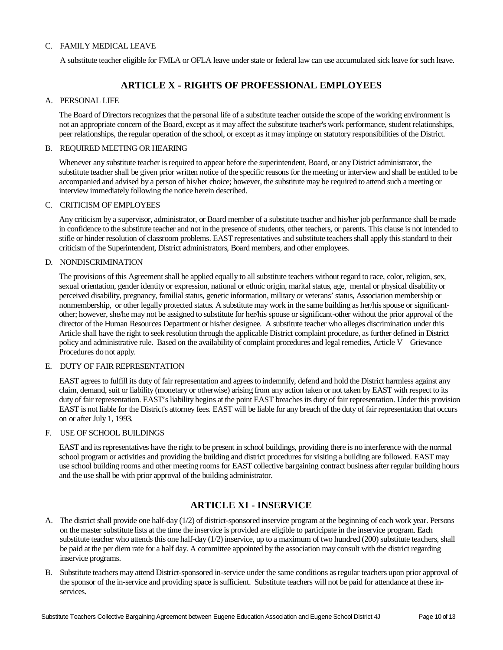#### C. FAMILY MEDICAL LEAVE

A substitute teacher eligible for FMLA or OFLA leave under state or federal law can use accumulated sick leave for such leave.

## **ARTICLE X - RIGHTS OF PROFESSIONAL EMPLOYEES**

#### A. PERSONAL LIFE

The Board of Directors recognizes that the personal life of a substitute teacher outside the scope of the working environment is not an appropriate concern of the Board, except as it may affect the substitute teacher's work performance, student relationships, peer relationships, the regular operation of the school, or except as it may impinge on statutory responsibilities of the District.

#### B. REQUIRED MEETING OR HEARING

Whenever any substitute teacher is required to appear before the superintendent, Board, or any District administrator, the substitute teacher shall be given prior written notice of the specific reasons for the meeting or interview and shall be entitled to be accompanied and advised by a person of his/her choice; however, the substitute may be required to attend such a meeting or interview immediately following the notice herein described.

#### C. CRITICISM OF EMPLOYEES

Any criticism by a supervisor, administrator, or Board member of a substitute teacher and his/her job performance shall be made in confidence to the substitute teacher and not in the presence of students, other teachers, or parents. This clause is not intended to stifle or hinder resolution of classroom problems. EAST representatives and substitute teachers shall apply this standard to their criticism of the Superintendent, District administrators, Board members, and other employees.

#### D. NONDISCRIMINATION

The provisions of this Agreement shall be applied equally to all substitute teachers without regard to race, color, religion, sex, sexual orientation, gender identity or expression, national or ethnic origin, marital status, age, mental or physical disability or perceived disability, pregnancy, familial status, genetic information, military or veterans' status, Association membership or nonmembership, or other legally protected status. A substitute may work in the same building as her/his spouse or significantother; however, she/he may not be assigned to substitute for her/his spouse or significant-other without the prior approval of the director of the Human Resources Department or his/her designee. A substitute teacher who alleges discrimination under this Article shall have the right to seek resolution through the applicable District complaint procedure, as further defined in District policy and administrative rule. Based on the availability of complaint procedures and legal remedies, Article V – Grievance Procedures do not apply.

#### E. DUTY OF FAIR REPRESENTATION

EAST agrees to fulfill its duty of fair representation and agrees to indemnify, defend and hold the District harmless against any claim, demand, suit or liability (monetary or otherwise) arising from any action taken or not taken by EAST with respect to its duty of fair representation. EAST's liability begins at the point EAST breaches its duty of fair representation. Under this provision EAST is not liable for the District's attorney fees. EAST will be liable for any breach of the duty of fair representation that occurs on or after July 1, 1993.

#### F. USE OF SCHOOL BUILDINGS

EAST and its representatives have the right to be present in school buildings, providing there is no interference with the normal school program or activities and providing the building and district procedures for visiting a building are followed. EAST may use school building rooms and other meeting rooms for EAST collective bargaining contract business after regular building hours and the use shall be with prior approval of the building administrator.

### **ARTICLE XI - INSERVICE**

- A. The district shall provide one half-day (1/2) of district-sponsored inservice program at the beginning of each work year. Persons on the master substitute lists at the time the inservice is provided are eligible to participate in the inservice program. Each substitute teacher who attends this one half-day  $(1/2)$  inservice, up to a maximum of two hundred  $(200)$  substitute teachers, shall be paid at the per diem rate for a half day. A committee appointed by the association may consult with the district regarding inservice programs.
- B. Substitute teachers may attend District-sponsored in-service under the same conditions as regular teachers upon prior approval of the sponsor of the in-service and providing space is sufficient. Substitute teachers will not be paid for attendance at these inservices.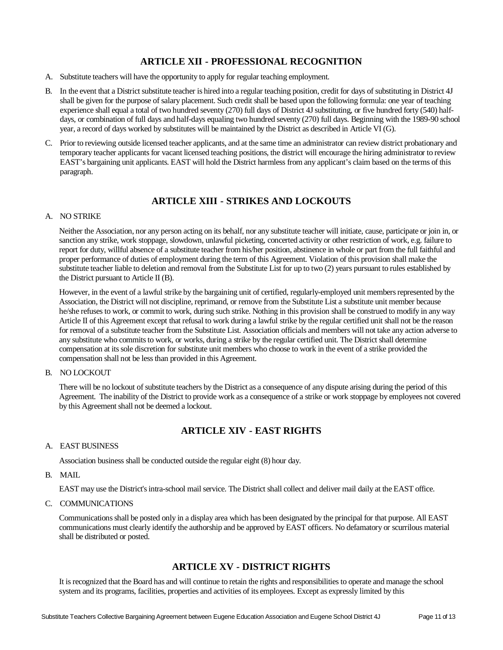## **ARTICLE XII - PROFESSIONAL RECOGNITION**

- A. Substitute teachers will have the opportunity to apply for regular teaching employment.
- B. In the event that a District substitute teacher is hired into a regular teaching position, credit for days of substituting in District 4J shall be given for the purpose of salary placement. Such credit shall be based upon the following formula: one year of teaching experience shall equal a total of two hundred seventy (270) full days of District 4J substituting, or five hundred forty (540) halfdays, or combination of full days and half-days equaling two hundred seventy (270) full days. Beginning with the 1989-90 school year, a record of days worked by substitutes will be maintained by the District as described in Article VI (G).
- C. Prior to reviewing outside licensed teacher applicants, and at the same time an administrator can review district probationary and temporary teacher applicants for vacant licensed teaching positions, the district will encourage the hiring administrator to review EAST's bargaining unit applicants. EAST will hold the District harmless from any applicant's claim based on the terms of this paragraph.

## **ARTICLE XIII - STRIKES AND LOCKOUTS**

#### A. NO STRIKE

Neither the Association, nor any person acting on its behalf, nor any substitute teacher will initiate, cause, participate or join in, or sanction any strike, work stoppage, slowdown, unlawful picketing, concerted activity or other restriction of work, e.g. failure to report for duty, willful absence of a substitute teacher from his/her position, abstinence in whole or part from the full faithful and proper performance of duties of employment during the term of this Agreement. Violation of this provision shall make the substitute teacher liable to deletion and removal from the Substitute List for up to two (2) years pursuant to rules established by the District pursuant to Article II (B).

However, in the event of a lawful strike by the bargaining unit of certified, regularly-employed unit members represented by the Association, the District will not discipline, reprimand, or remove from the Substitute List a substitute unit member because he/she refuses to work, or commit to work, during such strike. Nothing in this provision shall be construed to modify in any way Article II of this Agreement except that refusal to work during a lawful strike by the regular certified unit shall not be the reason for removal of a substitute teacher from the Substitute List. Association officials and members will not take any action adverse to any substitute who commits to work, or works, during a strike by the regular certified unit. The District shall determine compensation at its sole discretion for substitute unit members who choose to work in the event of a strike provided the compensation shall not be less than provided in this Agreement.

#### B. NO LOCKOUT

There will be no lockout of substitute teachers by the District as a consequence of any dispute arising during the period of this Agreement. The inability of the District to provide work as a consequence of a strike or work stoppage by employees not covered by this Agreement shall not be deemed a lockout.

## **ARTICLE XIV - EAST RIGHTS**

#### A. EAST BUSINESS

Association business shall be conducted outside the regular eight (8) hour day.

#### B. MAIL

EAST may use the District's intra-school mail service. The District shall collect and deliver mail daily at the EAST office.

C. COMMUNICATIONS

Communications shall be posted only in a display area which has been designated by the principal for that purpose. All EAST communications must clearly identify the authorship and be approved by EAST officers. No defamatory or scurrilous material shall be distributed or posted.

## **ARTICLE XV - DISTRICT RIGHTS**

It is recognized that the Board has and will continue to retain the rights and responsibilities to operate and manage the school system and its programs, facilities, properties and activities of its employees. Except as expressly limited by this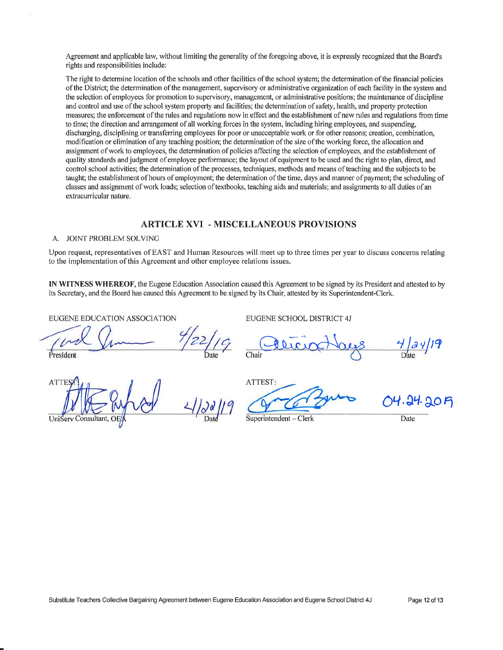Agreement and applicable law, without limiting the generality of the foregoing above, it is expressly recognized that the Board's rights and responsibilities include:

The right to determine location of the schools and other facilities of the school system: the determination of the financial policies of the District; the determination of the management, supervisory or administrative organization of each facility in the system and the selection of employees for promotion to supervisory, management, or administrative positions; the maintenance of discipline and control and use of the school system property and facilities; the determination of safety, health, and property protection measures; the enforcement of the rules and regulations now in effect and the establishment of new rules and regulations from time to time; the direction and arrangement of all working forces in the system, including hiring employees, and suspending, discharging, disciplining or transferring employees for poor or unacceptable work or for other reasons; creation, combination, modification or elimination of any teaching position; the determination of the size of the working force, the allocation and assignment of work to employees, the determination of policies affecting the selection of employees, and the establishment of quality standards and judgment of employee performance; the layout of equipment to be used and the right to plan, direct, and control school activities; the determination of the processes, techniques, methods and means of teaching and the subjects to be taught; the establishment of hours of employment; the determination of the time, days and manner of payment; the scheduling of classes and assignment of work loads; selection of textbooks, teaching aids and materials; and assignments to all duties of an extracurricular nature.

#### **ARTICLE XVI - MISCELLANEOUS PROVISIONS**

#### A. JOINT PROBLEM SOLVING

Upon request, representatives of EAST and Human Resources will meet up to three times per year to discuss concerns relating to the implementation of this Agreement and other employee relations issues.

IN WITNESS WHEREOF, the Eugene Education Association caused this Agreement to be signed by its President and attested to by its Secretary, and the Board has caused this Agreement to be signed by its Chair, attested by its Superintendent-Clerk.

EUGENE EDUCATION ASSOCIATION

Presiden

**ATT UniServ Consultant** 

EUGENE SCHOOL DISTRICT 4J

 $\frac{4}{\text{Date}}$ Chair

14.24.20A

Superintendent - Clerk

Date

ATTEST: